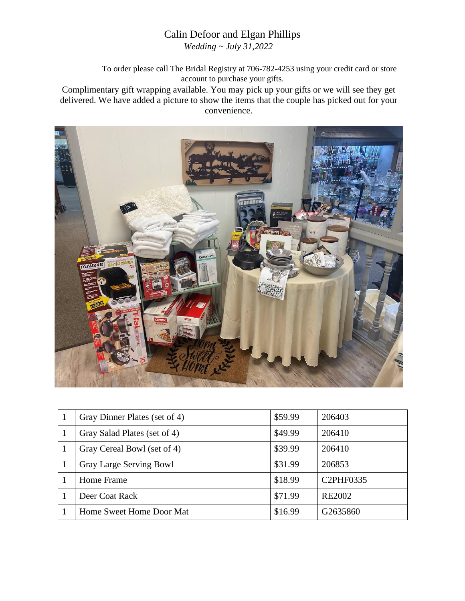## Calin Defoor and Elgan Phillips

*Wedding ~ July 31,2022*

To order please call The Bridal Registry at 706-782-4253 using your credit card or store account to purchase your gifts.

Complimentary gift wrapping available. You may pick up your gifts or we will see they get delivered. We have added a picture to show the items that the couple has picked out for your convenience.



| Gray Dinner Plates (set of 4)  | \$59.99 | 206403                 |
|--------------------------------|---------|------------------------|
| Gray Salad Plates (set of 4)   | \$49.99 | 206410                 |
| Gray Cereal Bowl (set of 4)    | \$39.99 | 206410                 |
| <b>Gray Large Serving Bowl</b> | \$31.99 | 206853                 |
| Home Frame                     | \$18.99 | C <sub>2</sub> PHF0335 |
| Deer Coat Rack                 | \$71.99 | <b>RE2002</b>          |
| Home Sweet Home Door Mat       | \$16.99 | G2635860               |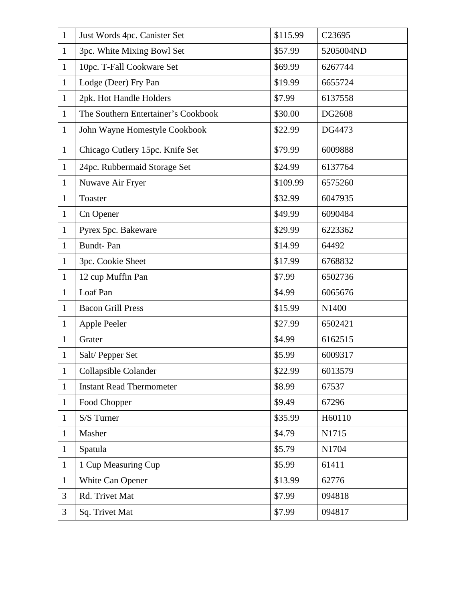| $\mathbf{1}$ | Just Words 4pc. Canister Set        | \$115.99 | C23695    |
|--------------|-------------------------------------|----------|-----------|
| $\mathbf{1}$ | 3pc. White Mixing Bowl Set          | \$57.99  | 5205004ND |
| $\mathbf{1}$ | 10pc. T-Fall Cookware Set           | \$69.99  | 6267744   |
| $\mathbf{1}$ | Lodge (Deer) Fry Pan                | \$19.99  | 6655724   |
| $\mathbf{1}$ | 2pk. Hot Handle Holders             | \$7.99   | 6137558   |
| $\mathbf{1}$ | The Southern Entertainer's Cookbook | \$30.00  | DG2608    |
| $\mathbf{1}$ | John Wayne Homestyle Cookbook       | \$22.99  | DG4473    |
| $\mathbf{1}$ | Chicago Cutlery 15pc. Knife Set     | \$79.99  | 6009888   |
| $\mathbf{1}$ | 24pc. Rubbermaid Storage Set        | \$24.99  | 6137764   |
| $\mathbf{1}$ | Nuwave Air Fryer                    | \$109.99 | 6575260   |
| $\mathbf{1}$ | Toaster                             | \$32.99  | 6047935   |
| $\mathbf{1}$ | Cn Opener                           | \$49.99  | 6090484   |
| $\mathbf{1}$ | Pyrex 5pc. Bakeware                 | \$29.99  | 6223362   |
| $\mathbf{1}$ | <b>Bundt-Pan</b>                    | \$14.99  | 64492     |
| $\mathbf{1}$ | 3pc. Cookie Sheet                   | \$17.99  | 6768832   |
| $\mathbf{1}$ | 12 cup Muffin Pan                   | \$7.99   | 6502736   |
| $\mathbf{1}$ | Loaf Pan                            | \$4.99   | 6065676   |
| $\mathbf{1}$ | <b>Bacon Grill Press</b>            | \$15.99  | N1400     |
| $\mathbf{1}$ | Apple Peeler                        | \$27.99  | 6502421   |
| 1            | Grater                              | \$4.99   | 6162515   |
| $\mathbf{1}$ | Salt/Pepper Set                     | \$5.99   | 6009317   |
| 1            | Collapsible Colander                | \$22.99  | 6013579   |
| $\mathbf{1}$ | <b>Instant Read Thermometer</b>     | \$8.99   | 67537     |
| $\mathbf{1}$ | Food Chopper                        | \$9.49   | 67296     |
| $\mathbf{1}$ | S/S Turner                          | \$35.99  | H60110    |
| $\mathbf{1}$ | Masher                              | \$4.79   | N1715     |
| $\mathbf{1}$ | Spatula                             | \$5.79   | N1704     |
| $\mathbf{1}$ | 1 Cup Measuring Cup                 | \$5.99   | 61411     |
| $\mathbf{1}$ | White Can Opener                    | \$13.99  | 62776     |
| 3            | Rd. Trivet Mat                      | \$7.99   | 094818    |
| 3            | Sq. Trivet Mat                      | \$7.99   | 094817    |